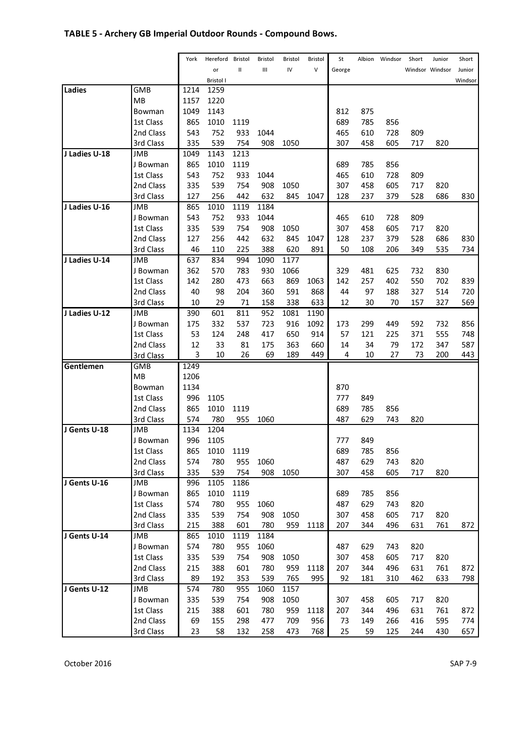# TABLE 5 - Archery GB Imperial Outdoor Rounds - Compound Bows.

|               |                        | York     | Hereford         | Bristol    | Bristol    | Bristol    | Bristol    | St        | Albion    | Windsor | Short      | Junior          | Short      |
|---------------|------------------------|----------|------------------|------------|------------|------------|------------|-----------|-----------|---------|------------|-----------------|------------|
|               |                        |          | or               | II         | Ш          | IV         | V          | George    |           |         |            | Windsor Windsor | Junior     |
|               |                        |          | <b>Bristol I</b> |            |            |            |            |           |           |         |            |                 | Windsor    |
| Ladies        | GMB                    | 1214     | 1259             |            |            |            |            |           |           |         |            |                 |            |
|               | <b>MB</b>              | 1157     | 1220             |            |            |            |            |           |           |         |            |                 |            |
|               | Bowman                 | 1049     | 1143             |            |            |            |            | 812       | 875       |         |            |                 |            |
|               | 1st Class              | 865      | 1010             | 1119       |            |            |            | 689       | 785       | 856     |            |                 |            |
|               | 2nd Class              | 543      | 752              | 933        | 1044       |            |            | 465       | 610       | 728     | 809        |                 |            |
|               | 3rd Class              | 335      | 539              | 754        | 908        | 1050       |            | 307       | 458       | 605     | 717        | 820             |            |
| J Ladies U-18 | JMB                    | 1049     | 1143             | 1213       |            |            |            |           |           |         |            |                 |            |
|               | J Bowman               | 865      | 1010             | 1119       |            |            |            | 689       | 785       | 856     |            |                 |            |
|               | 1st Class              | 543      | 752              | 933        | 1044       |            |            | 465       | 610       | 728     | 809        |                 |            |
|               | 2nd Class              | 335      | 539              | 754        | 908        | 1050       |            | 307       | 458       | 605     | 717        | 820             |            |
|               | 3rd Class              | 127      | 256              | 442        | 632        | 845        | 1047       | 128       | 237       | 379     | 528        | 686             | 830        |
| J Ladies U-16 | JMB                    | 865      | 1010             | 1119       | 1184       |            |            |           |           |         |            |                 |            |
|               | J Bowman               | 543      | 752              | 933        | 1044       |            |            | 465       | 610       | 728     | 809        |                 |            |
|               | 1st Class              | 335      | 539              | 754        | 908        | 1050       |            | 307       | 458       | 605     | 717        | 820             |            |
|               | 2nd Class              | 127      | 256              | 442        | 632        | 845        | 1047       | 128       | 237       | 379     | 528        | 686             | 830        |
|               | 3rd Class              | 46       | 110              | 225        | 388        | 620        | 891        | 50        | 108       | 206     | 349        | 535             | 734        |
| J Ladies U-14 | <b>JMB</b>             | 637      | 834              | 994        | 1090       | 1177       |            |           |           |         |            |                 |            |
|               | J Bowman               | 362      | 570              | 783        | 930        | 1066       |            | 329       | 481       | 625     | 732        | 830             |            |
|               | 1st Class              | 142      | 280              | 473        | 663        | 869        | 1063       | 142       | 257       | 402     | 550        | 702             | 839        |
|               | 2nd Class              | 40       | 98               | 204        | 360        | 591        | 868        | 44        | 97        | 188     | 327        | 514             | 720        |
|               | 3rd Class              | 10       | 29               | 71         | 158        | 338        | 633        | 12        | 30        | 70      | 157        | 327             | 569        |
| J Ladies U-12 | <b>JMB</b>             | 390      | 601              | 811        | 952<br>723 | 1081       | 1190       |           | 299       | 449     |            |                 |            |
|               | J Bowman               | 175      | 332              | 537<br>248 | 417        | 916        | 1092       | 173<br>57 |           | 225     | 592        | 732             | 856<br>748 |
|               | 1st Class<br>2nd Class | 53<br>12 | 124<br>33        | 81         | 175        | 650<br>363 | 914<br>660 | 14        | 121<br>34 | 79      | 371<br>172 | 555<br>347      | 587        |
|               | 3rd Class              | 3        | 10               | 26         | 69         | 189        | 449        | 4         | 10        | 27      | 73         | 200             | 443        |
| Gentlemen     | <b>GMB</b>             | 1249     |                  |            |            |            |            |           |           |         |            |                 |            |
|               | MB                     | 1206     |                  |            |            |            |            |           |           |         |            |                 |            |
|               | Bowman                 | 1134     |                  |            |            |            |            | 870       |           |         |            |                 |            |
|               | 1st Class              | 996      | 1105             |            |            |            |            | 777       | 849       |         |            |                 |            |
|               | 2nd Class              | 865      | 1010             | 1119       |            |            |            | 689       | 785       | 856     |            |                 |            |
|               | 3rd Class              | 574      | 780              | 955        | 1060       |            |            | 487       | 629       | 743     | 820        |                 |            |
| J Gents U-18  | <b>JMB</b>             | 1134     | 1204             |            |            |            |            |           |           |         |            |                 |            |
|               | J Bowman               | 996      | 1105             |            |            |            |            | 777       | 849       |         |            |                 |            |
|               | 1st Class              | 865      | 1010             | 1119       |            |            |            | 689       | 785       | 856     |            |                 |            |
|               | 2nd Class              | 574      | 780              | 955        | 1060       |            |            | 487       | 629       | 743     | 820        |                 |            |
|               | 3rd Class              | 335      | 539              | 754        | 908        | 1050       |            | 307       | 458       | 605     | 717        | 820             |            |
| J Gents U-16  | JMB                    | 996      | 1105             | 1186       |            |            |            |           |           |         |            |                 |            |
|               | J Bowman               | 865      | 1010             | 1119       |            |            |            | 689       | 785       | 856     |            |                 |            |
|               | 1st Class              | 574      | 780              | 955        | 1060       |            |            | 487       | 629       | 743     | 820        |                 |            |
|               | 2nd Class              | 335      | 539              | 754        | 908        | 1050       |            | 307       | 458       | 605     | 717        | 820             |            |
|               | 3rd Class              | 215      | 388              | 601        | 780        | 959        | 1118       | 207       | 344       | 496     | 631        | 761             | 872        |
| J Gents U-14  | JMB                    | 865      | 1010             | 1119       | 1184       |            |            |           |           |         |            |                 |            |
|               | J Bowman               | 574      | 780              | 955        | 1060       |            |            | 487       | 629       | 743     | 820        |                 |            |
|               | 1st Class              | 335      | 539              | 754        | 908        | 1050       |            | 307       | 458       | 605     | 717        | 820             |            |
|               | 2nd Class              | 215      | 388              | 601        | 780        | 959        | 1118       | 207       | 344       | 496     | 631        | 761             | 872        |
|               | 3rd Class              | 89       | 192              | 353        | 539        | 765        | 995        | 92        | 181       | 310     | 462        | 633             | 798        |
| J Gents U-12  | JMB                    | 574      | 780              | 955        | 1060       | 1157       |            |           |           |         |            |                 |            |
|               | J Bowman               | 335      | 539              | 754        | 908        | 1050       |            | 307       | 458       | 605     | 717        | 820             |            |
|               | 1st Class              | 215      | 388              | 601        | 780        | 959        | 1118       | 207       | 344       | 496     | 631        | 761             | 872        |
|               | 2nd Class              | 69       | 155              | 298        | 477        | 709        | 956        | 73        | 149       | 266     | 416        | 595             | 774        |
|               | 3rd Class              | 23       | 58               | 132        | 258        | 473        | 768        | 25        | 59        | 125     | 244        | 430             | 657        |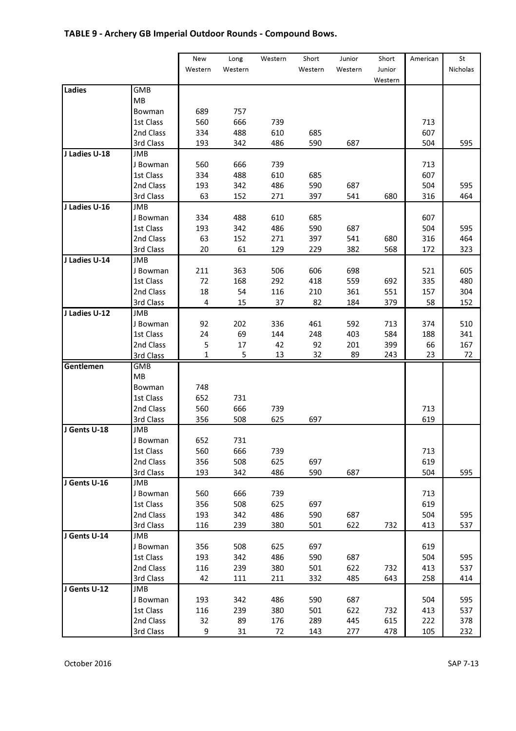# TABLE 9 - Archery GB Imperial Outdoor Rounds - Compound Bows.

|               |            | New          | Long    | Western | Short   | Junior  | Short   | American | St       |
|---------------|------------|--------------|---------|---------|---------|---------|---------|----------|----------|
|               |            | Western      | Western |         | Western | Western | Junior  |          | Nicholas |
|               |            |              |         |         |         |         | Western |          |          |
| Ladies        | GMB        |              |         |         |         |         |         |          |          |
|               | <b>MB</b>  |              |         |         |         |         |         |          |          |
|               | Bowman     | 689          | 757     |         |         |         |         |          |          |
|               | 1st Class  | 560          | 666     | 739     |         |         |         | 713      |          |
|               | 2nd Class  | 334          | 488     | 610     | 685     |         |         | 607      |          |
|               | 3rd Class  | 193          | 342     | 486     | 590     | 687     |         | 504      | 595      |
| J Ladies U-18 | JMB        |              |         |         |         |         |         |          |          |
|               | J Bowman   | 560          | 666     | 739     |         |         |         | 713      |          |
|               | 1st Class  | 334          | 488     | 610     | 685     |         |         | 607      |          |
|               | 2nd Class  | 193          | 342     | 486     | 590     | 687     |         | 504      | 595      |
|               | 3rd Class  | 63           | 152     | 271     | 397     | 541     | 680     | 316      | 464      |
| J Ladies U-16 | JMB        |              |         |         |         |         |         |          |          |
|               | J Bowman   | 334          | 488     | 610     | 685     |         |         | 607      |          |
|               | 1st Class  | 193          | 342     | 486     | 590     | 687     |         | 504      | 595      |
|               | 2nd Class  | 63           | 152     | 271     | 397     | 541     | 680     | 316      | 464      |
|               | 3rd Class  | 20           | 61      | 129     | 229     | 382     | 568     | 172      | 323      |
| J Ladies U-14 | JMB        |              |         |         |         |         |         |          |          |
|               | J Bowman   | 211          | 363     | 506     | 606     | 698     |         | 521      | 605      |
|               | 1st Class  | 72           | 168     | 292     | 418     | 559     | 692     | 335      | 480      |
|               | 2nd Class  | 18           | 54      | 116     | 210     | 361     | 551     | 157      | 304      |
|               | 3rd Class  | 4            | 15      | 37      | 82      | 184     | 379     | 58       | 152      |
| J Ladies U-12 | <b>JMB</b> |              |         |         |         |         |         |          |          |
|               | J Bowman   | 92           | 202     | 336     | 461     | 592     | 713     | 374      | 510      |
|               | 1st Class  | 24           | 69      | 144     | 248     | 403     | 584     | 188      | 341      |
|               | 2nd Class  | 5            | 17      | 42      | 92      | 201     | 399     | 66       | 167      |
|               | 3rd Class  | $\mathbf{1}$ | 5       | 13      | 32      | 89      | 243     | 23       | 72       |
| Gentlemen     | GMB        |              |         |         |         |         |         |          |          |
|               | MB         |              |         |         |         |         |         |          |          |
|               | Bowman     | 748          |         |         |         |         |         |          |          |
|               | 1st Class  | 652          | 731     |         |         |         |         |          |          |
|               | 2nd Class  | 560          | 666     | 739     |         |         |         | 713      |          |
|               | 3rd Class  | 356          | 508     | 625     | 697     |         |         | 619      |          |
| J Gents U-18  | JMB        |              |         |         |         |         |         |          |          |
|               | J Bowman   | 652          | 731     |         |         |         |         |          |          |
|               | 1st Class  | 560          | 666     | 739     |         |         |         | 713      |          |
|               | 2nd Class  | 356          | 508     | 625     | 697     |         |         | 619      |          |
|               | 3rd Class  | 193          | 342     | 486     | 590     | 687     |         | 504      | 595      |
| J Gents U-16  | JMB        |              |         |         |         |         |         |          |          |
|               | J Bowman   | 560          | 666     | 739     |         |         |         | 713      |          |
|               | 1st Class  | 356          | 508     | 625     | 697     |         |         | 619      |          |
|               | 2nd Class  | 193          | 342     | 486     | 590     | 687     |         | 504      | 595      |
|               | 3rd Class  | 116          | 239     | 380     | 501     | 622     | 732     | 413      | 537      |
| J Gents U-14  | <b>JMB</b> |              |         |         |         |         |         |          |          |
|               | J Bowman   | 356          | 508     | 625     | 697     |         |         | 619      |          |
|               | 1st Class  | 193          | 342     | 486     | 590     | 687     |         | 504      | 595      |
|               | 2nd Class  | 116          | 239     | 380     | 501     | 622     | 732     | 413      | 537      |
|               | 3rd Class  | 42           | 111     | 211     | 332     | 485     | 643     | 258      | 414      |
| J Gents U-12  | JMB        |              |         |         |         |         |         |          |          |
|               | J Bowman   | 193          | 342     | 486     | 590     | 687     |         | 504      | 595      |
|               | 1st Class  | 116          | 239     | 380     | 501     | 622     | 732     | 413      | 537      |
|               | 2nd Class  | 32           | 89      | 176     | 289     | 445     | 615     | 222      | 378      |
|               | 3rd Class  | 9            | 31      | 72      | 143     | 277     | 478     | 105      | 232      |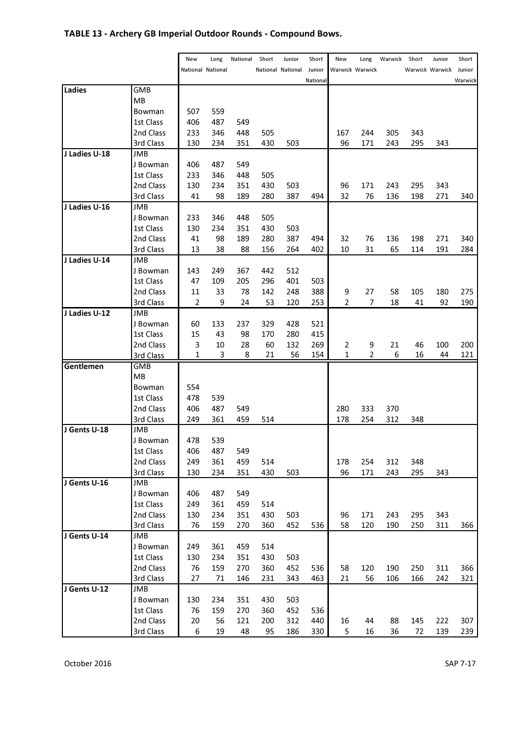# TABLE 13 - Archery GB Imperial Outdoor Rounds - Compound Bows.

|               |            | New | Long                     | National | Short | Junior            | Short    | New | Long            | Warwick | Short | Junior          | Short   |
|---------------|------------|-----|--------------------------|----------|-------|-------------------|----------|-----|-----------------|---------|-------|-----------------|---------|
|               |            |     | <b>National National</b> |          |       | National National | Junior   |     | Warwick Warwick |         |       | Warwick Warwick | Junior  |
|               |            |     |                          |          |       |                   | National |     |                 |         |       |                 | Warwick |
| Ladies        | GMB        |     |                          |          |       |                   |          |     |                 |         |       |                 |         |
|               | MB         |     |                          |          |       |                   |          |     |                 |         |       |                 |         |
|               | Bowman     | 507 | 559                      |          |       |                   |          |     |                 |         |       |                 |         |
|               | 1st Class  | 406 | 487                      | 549      |       |                   |          |     |                 |         |       |                 |         |
|               | 2nd Class  | 233 | 346                      | 448      | 505   |                   |          | 167 | 244             | 305     | 343   |                 |         |
|               | 3rd Class  | 130 | 234                      | 351      | 430   | 503               |          | 96  | 171             | 243     | 295   | 343             |         |
| J Ladies U-18 | JMB        |     |                          |          |       |                   |          |     |                 |         |       |                 |         |
|               | J Bowman   | 406 | 487                      | 549      |       |                   |          |     |                 |         |       |                 |         |
|               | 1st Class  | 233 | 346                      | 448      | 505   |                   |          |     |                 |         |       |                 |         |
|               | 2nd Class  | 130 | 234                      | 351      | 430   | 503               |          | 96  | 171             | 243     | 295   | 343             |         |
|               | 3rd Class  | 41  | 98                       | 189      | 280   | 387               | 494      | 32  | 76              | 136     | 198   | 271             | 340     |
| J Ladies U-16 | JMB        |     |                          |          |       |                   |          |     |                 |         |       |                 |         |
|               | J Bowman   | 233 | 346                      | 448      | 505   |                   |          |     |                 |         |       |                 |         |
|               | 1st Class  | 130 | 234                      | 351      | 430   | 503               |          |     |                 |         |       |                 |         |
|               | 2nd Class  | 41  | 98                       | 189      | 280   | 387               | 494      | 32  | 76              | 136     | 198   | 271             | 340     |
|               | 3rd Class  | 13  | 38                       | 88       | 156   | 264               | 402      | 10  | 31              | 65      | 114   | 191             | 284     |
| J Ladies U-14 | JMB        |     |                          |          |       |                   |          |     |                 |         |       |                 |         |
|               | J Bowman   | 143 | 249                      | 367      | 442   | 512               |          |     |                 |         |       |                 |         |
|               | 1st Class  | 47  | 109                      | 205      | 296   | 401               | 503      |     |                 |         |       |                 |         |
|               | 2nd Class  | 11  | 33                       | 78       | 142   | 248               | 388      | 9   | 27              | 58      | 105   | 180             | 275     |
|               | 3rd Class  | 2   | 9                        | 24       | 53    | 120               | 253      | 2   | 7               | 18      | 41    | 92              | 190     |
| J Ladies U-12 | JMB        |     |                          |          |       |                   |          |     |                 |         |       |                 |         |
|               | J Bowman   | 60  | 133                      | 237      | 329   | 428               | 521      |     |                 |         |       |                 |         |
|               | 1st Class  | 15  | 43                       | 98       | 170   | 280               | 415      |     |                 |         |       |                 |         |
|               | 2nd Class  | 3   | 10                       | 28       | 60    | 132               | 269      | 2   | 9               | 21      | 46    | 100             | 200     |
|               | 3rd Class  | 1   | 3                        | 8        | 21    | 56                | 154      | 1   | 2               | 6       | 16    | 44              | 121     |
| Gentlemen     | <b>GMB</b> |     |                          |          |       |                   |          |     |                 |         |       |                 |         |
|               | MB         |     |                          |          |       |                   |          |     |                 |         |       |                 |         |
|               | Bowman     | 554 |                          |          |       |                   |          |     |                 |         |       |                 |         |
|               | 1st Class  | 478 | 539                      |          |       |                   |          |     |                 |         |       |                 |         |
|               | 2nd Class  | 406 | 487                      | 549      |       |                   |          | 280 | 333             | 370     |       |                 |         |
|               | 3rd Class  | 249 | 361                      | 459      | 514   |                   |          | 178 | 254             | 312     | 348   |                 |         |
| J Gents U-18  | <b>JMB</b> |     |                          |          |       |                   |          |     |                 |         |       |                 |         |
|               | J Bowman   | 478 | 539                      |          |       |                   |          |     |                 |         |       |                 |         |
|               | 1st Class  | 406 | 487                      | 549      |       |                   |          |     |                 |         |       |                 |         |
|               | 2nd Class  | 249 | 361                      | 459      | 514   |                   |          | 178 | 254             | 312     | 348   |                 |         |
|               | 3rd Class  | 130 | 234                      | 351      | 430   | 503               |          | 96  | 171             | 243     | 295   | 343             |         |
| J Gents U-16  | JMB        |     |                          |          |       |                   |          |     |                 |         |       |                 |         |
|               | J Bowman   | 406 | 487                      | 549      |       |                   |          |     |                 |         |       |                 |         |
|               | 1st Class  | 249 | 361                      | 459      | 514   |                   |          |     |                 |         |       |                 |         |
|               | 2nd Class  | 130 | 234                      | 351      | 430   | 503               |          | 96  | 171             | 243     | 295   | 343             |         |
|               | 3rd Class  | 76  | 159                      | 270      | 360   | 452               | 536      | 58  | 120             | 190     | 250   | 311             | 366     |
| J Gents U-14  | JMB        |     |                          |          |       |                   |          |     |                 |         |       |                 |         |
|               | J Bowman   | 249 | 361                      | 459      | 514   |                   |          |     |                 |         |       |                 |         |
|               | 1st Class  | 130 | 234                      | 351      | 430   | 503               |          |     |                 |         |       |                 |         |
|               | 2nd Class  | 76  | 159                      | 270      | 360   | 452               | 536      | 58  | 120             | 190     | 250   | 311             | 366     |
|               | 3rd Class  | 27  | 71                       | 146      | 231   | 343               | 463      | 21  | 56              | 106     | 166   | 242             | 321     |
| J Gents U-12  | JMB        |     |                          |          |       |                   |          |     |                 |         |       |                 |         |
|               | J Bowman   | 130 | 234                      | 351      | 430   | 503               |          |     |                 |         |       |                 |         |
|               | 1st Class  | 76  | 159                      | 270      | 360   | 452               | 536      |     |                 |         |       |                 |         |
|               | 2nd Class  | 20  | 56                       | 121      | 200   | 312               | 440      | 16  | 44              | 88      | 145   | 222             | 307     |
|               | 3rd Class  | 6   | 19                       | 48       | 95    | 186               | 330      | 5   | 16              | 36      | 72    | 139             | 239     |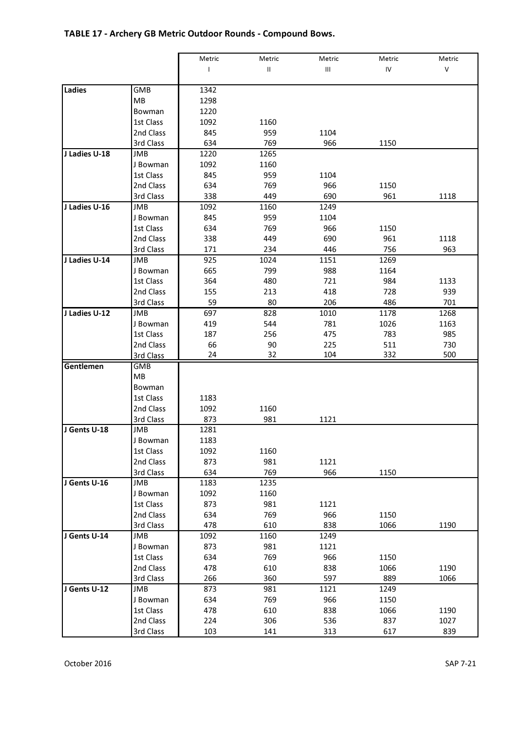# TABLE 17 - Archery GB Metric Outdoor Rounds - Compound Bows.

|               |            | Metric         | Metric        | Metric | Metric | Metric  |
|---------------|------------|----------------|---------------|--------|--------|---------|
|               |            | $\overline{1}$ | $\mathsf{II}$ | Ш      | IV     | $\sf V$ |
|               |            |                |               |        |        |         |
| Ladies        | GMB        | 1342           |               |        |        |         |
|               | MВ         | 1298           |               |        |        |         |
|               | Bowman     | 1220           |               |        |        |         |
|               | 1st Class  | 1092           | 1160          |        |        |         |
|               | 2nd Class  | 845            | 959           | 1104   |        |         |
|               | 3rd Class  | 634            | 769           | 966    | 1150   |         |
| J Ladies U-18 | JMB        | 1220           | 1265          |        |        |         |
|               | J Bowman   | 1092           | 1160          |        |        |         |
|               | 1st Class  | 845            | 959           | 1104   |        |         |
|               | 2nd Class  | 634            | 769           | 966    | 1150   |         |
|               | 3rd Class  | 338            | 449           | 690    | 961    | 1118    |
| J Ladies U-16 | <b>JMB</b> | 1092           | 1160          | 1249   |        |         |
|               | J Bowman   | 845            | 959           | 1104   |        |         |
|               | 1st Class  | 634            | 769           | 966    | 1150   |         |
|               | 2nd Class  | 338            | 449           | 690    | 961    | 1118    |
|               | 3rd Class  | 171            | 234           | 446    | 756    | 963     |
| J Ladies U-14 | JMB        | 925            | 1024          | 1151   | 1269   |         |
|               | J Bowman   | 665            | 799           | 988    | 1164   |         |
|               | 1st Class  | 364            | 480           | 721    | 984    | 1133    |
|               | 2nd Class  | 155            | 213           | 418    | 728    | 939     |
|               | 3rd Class  | 59             | 80            | 206    | 486    | 701     |
| J Ladies U-12 | JMB        | 697            | 828           | 1010   | 1178   | 1268    |
|               | J Bowman   | 419            | 544           | 781    | 1026   | 1163    |
|               | 1st Class  | 187            | 256           | 475    | 783    | 985     |
|               | 2nd Class  | 66             | 90            | 225    | 511    | 730     |
|               | 3rd Class  | 24             | 32            | 104    | 332    | 500     |
| Gentlemen     | <b>GMB</b> |                |               |        |        |         |
|               | MB         |                |               |        |        |         |
|               | Bowman     |                |               |        |        |         |
|               | 1st Class  | 1183           |               |        |        |         |
|               | 2nd Class  | 1092           | 1160          |        |        |         |
|               | 3rd Class  | 873            | 981           | 1121   |        |         |
| J Gents U-18  | <b>JMB</b> | 1281           |               |        |        |         |
|               | J Bowman   | 1183           |               |        |        |         |
|               | 1st Class  | 1092           | 1160          |        |        |         |
|               | 2nd Class  | 873            | 981           | 1121   |        |         |
|               | 3rd Class  | 634            | 769           | 966    | 1150   |         |
| J Gents U-16  | JMB        | 1183           | 1235          |        |        |         |
|               | J Bowman   | 1092           | 1160          |        |        |         |
|               | 1st Class  | 873            | 981           | 1121   |        |         |
|               | 2nd Class  | 634            | 769           | 966    | 1150   |         |
|               | 3rd Class  | 478            | 610           | 838    | 1066   | 1190    |
| J Gents U-14  | JMB        | 1092           | 1160          | 1249   |        |         |
|               | J Bowman   | 873            | 981           | 1121   |        |         |
|               | 1st Class  | 634            | 769           | 966    | 1150   |         |
|               | 2nd Class  | 478            | 610           | 838    | 1066   | 1190    |
|               | 3rd Class  | 266            | 360           | 597    | 889    | 1066    |
| J Gents U-12  | JMB        | 873            | 981           | 1121   | 1249   |         |
|               | J Bowman   | 634            | 769           | 966    | 1150   |         |
|               | 1st Class  | 478            | 610           | 838    | 1066   | 1190    |
|               | 2nd Class  | 224            | 306           | 536    | 837    | 1027    |
|               | 3rd Class  | 103            | 141           | 313    | 617    | 839     |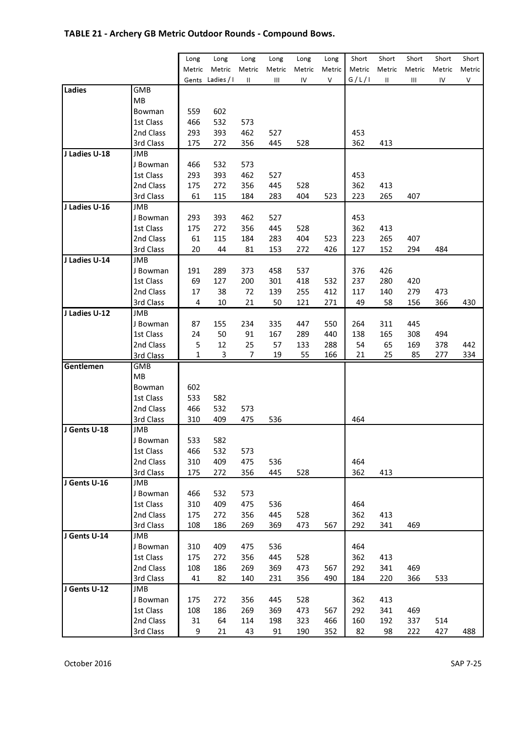# TABLE 21 - Archery GB Metric Outdoor Rounds - Compound Bows.

|               |                     | Long   | Long       | Long   | Long   | Long   | Long   | Short  | Short  | Short  | Short  | Short  |
|---------------|---------------------|--------|------------|--------|--------|--------|--------|--------|--------|--------|--------|--------|
|               |                     | Metric | Metric     | Metric | Metric | Metric | Metric | Metric | Metric | Metric | Metric | Metric |
|               |                     | Gents  | Ladies / I | Ш      | Ш      | IV     | V      | G/L/I  | Ш      | Ш      | IV     | ٧      |
| Ladies        | GMB                 |        |            |        |        |        |        |        |        |        |        |        |
|               | MB                  |        |            |        |        |        |        |        |        |        |        |        |
|               | Bowman              | 559    | 602        |        |        |        |        |        |        |        |        |        |
|               | 1st Class           | 466    | 532        | 573    |        |        |        |        |        |        |        |        |
|               | 2nd Class           | 293    | 393        | 462    | 527    |        |        | 453    |        |        |        |        |
|               | 3rd Class           | 175    | 272        | 356    | 445    | 528    |        | 362    | 413    |        |        |        |
| J Ladies U-18 | JMB                 |        |            |        |        |        |        |        |        |        |        |        |
|               | J Bowman            | 466    | 532        | 573    |        |        |        |        |        |        |        |        |
|               | 1st Class           | 293    | 393        | 462    | 527    |        |        | 453    |        |        |        |        |
|               | 2nd Class           | 175    | 272        | 356    | 445    | 528    |        | 362    | 413    |        |        |        |
|               | 3rd Class           | 61     | 115        | 184    | 283    | 404    | 523    | 223    | 265    | 407    |        |        |
| J Ladies U-16 | JMB                 |        |            |        |        |        |        |        |        |        |        |        |
|               | J Bowman            | 293    | 393        | 462    | 527    |        |        | 453    |        |        |        |        |
|               | 1st Class           | 175    | 272        | 356    | 445    | 528    |        | 362    | 413    |        |        |        |
|               | 2nd Class           | 61     | 115        | 184    | 283    | 404    | 523    | 223    | 265    | 407    |        |        |
|               | 3rd Class           | 20     | 44         | 81     | 153    | 272    | 426    | 127    | 152    | 294    | 484    |        |
| J Ladies U-14 | JMB                 |        |            |        |        |        |        |        |        |        |        |        |
|               | J Bowman            | 191    | 289        | 373    | 458    | 537    |        | 376    | 426    |        |        |        |
|               | 1st Class           | 69     | 127        | 200    | 301    | 418    | 532    | 237    | 280    | 420    |        |        |
|               | 2nd Class           | 17     | 38         | 72     | 139    | 255    | 412    | 117    | 140    | 279    | 473    |        |
|               | 3rd Class           | 4      | 10         | 21     | 50     | 121    | 271    | 49     | 58     | 156    | 366    | 430    |
| J Ladies U-12 | JMB                 |        |            |        |        |        |        |        |        |        |        |        |
|               | J Bowman            | 87     | 155        | 234    | 335    | 447    | 550    | 264    | 311    | 445    |        |        |
|               | 1st Class           | 24     | 50         | 91     | 167    | 289    | 440    | 138    | 165    | 308    | 494    |        |
|               | 2nd Class           | 5      | 12         | 25     | 57     | 133    | 288    | 54     | 65     | 169    | 378    | 442    |
|               | <b>3rd Class</b>    | 1      | 3          | 7      | 19     | 55     | 166    | 21     | 25     | 85     | 277    | 334    |
| Gentlemen     | <b>GMB</b><br>MB    |        |            |        |        |        |        |        |        |        |        |        |
|               |                     | 602    |            |        |        |        |        |        |        |        |        |        |
|               | Bowman<br>1st Class | 533    | 582        |        |        |        |        |        |        |        |        |        |
|               | 2nd Class           | 466    | 532        | 573    |        |        |        |        |        |        |        |        |
|               | 3rd Class           | 310    | 409        | 475    | 536    |        |        | 464    |        |        |        |        |
| J Gents U-18  | JMB                 |        |            |        |        |        |        |        |        |        |        |        |
|               | J Bowman            | 533    | 582        |        |        |        |        |        |        |        |        |        |
|               | 1st Class           | 466    | 532        | 573    |        |        |        |        |        |        |        |        |
|               | 2nd Class           | 310    | 409        | 475    | 536    |        |        | 464    |        |        |        |        |
|               | 3rd Class           | 175    | 272        | 356    | 445    | 528    |        | 362    | 413    |        |        |        |
| J Gents U-16  | JMB                 |        |            |        |        |        |        |        |        |        |        |        |
|               | J Bowman            | 466    | 532        | 573    |        |        |        |        |        |        |        |        |
|               | 1st Class           | 310    | 409        | 475    | 536    |        |        | 464    |        |        |        |        |
|               | 2nd Class           | 175    | 272        | 356    | 445    | 528    |        | 362    | 413    |        |        |        |
|               | 3rd Class           | 108    | 186        | 269    | 369    | 473    | 567    | 292    | 341    | 469    |        |        |
| J Gents U-14  | JMB                 |        |            |        |        |        |        |        |        |        |        |        |
|               | J Bowman            | 310    | 409        | 475    | 536    |        |        | 464    |        |        |        |        |
|               | 1st Class           | 175    | 272        | 356    | 445    | 528    |        | 362    | 413    |        |        |        |
|               | 2nd Class           | 108    | 186        | 269    | 369    | 473    | 567    | 292    | 341    | 469    |        |        |
|               | 3rd Class           | 41     | 82         | 140    | 231    | 356    | 490    | 184    | 220    | 366    | 533    |        |
| J Gents U-12  | JMB                 |        |            |        |        |        |        |        |        |        |        |        |
|               | J Bowman            | 175    | 272        | 356    | 445    | 528    |        | 362    | 413    |        |        |        |
|               | 1st Class           | 108    | 186        | 269    | 369    | 473    | 567    | 292    | 341    | 469    |        |        |
|               | 2nd Class           | 31     | 64         | 114    | 198    | 323    | 466    | 160    | 192    | 337    | 514    |        |
|               | 3rd Class           | 9      | 21         | 43     | 91     | 190    | 352    | 82     | 98     | 222    | 427    | 488    |